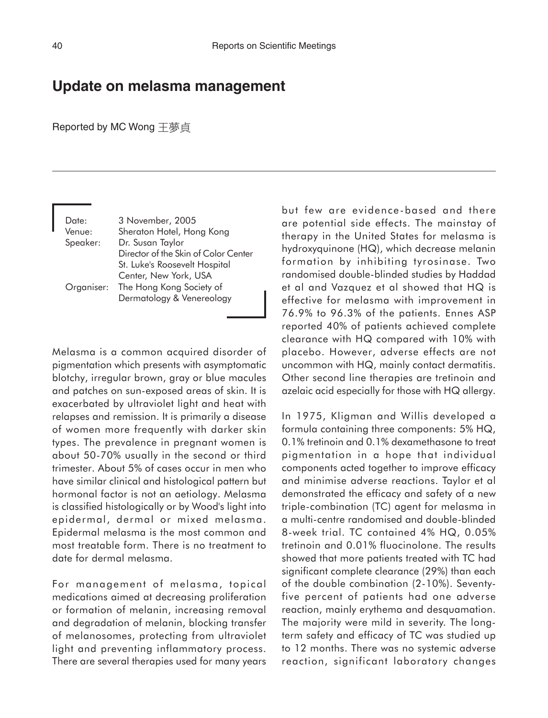## **Update on melasma management**

## Reported by MC Wong 王夢貞

Date: 3 November, 2005 Venue: Sheraton Hotel, Hong Kong Speaker: Dr. Susan Taylor Director of the Skin of Color Center St. Luke's Roosevelt Hospital Center, New York, USA Organiser: The Hong Kong Society of Dermatology & Venereology

Melasma is a common acquired disorder of pigmentation which presents with asymptomatic blotchy, irregular brown, gray or blue macules and patches on sun-exposed areas of skin. It is exacerbated by ultraviolet light and heat with relapses and remission. It is primarily a disease of women more frequently with darker skin types. The prevalence in pregnant women is about 50-70% usually in the second or third trimester. About 5% of cases occur in men who have similar clinical and histological pattern but hormonal factor is not an aetiology. Melasma is classified histologically or by Wood's light into epidermal, dermal or mixed melasma. Epidermal melasma is the most common and most treatable form. There is no treatment to date for dermal melasma.

For management of melasma, topical medications aimed at decreasing proliferation or formation of melanin, increasing removal and degradation of melanin, blocking transfer of melanosomes, protecting from ultraviolet light and preventing inflammatory process. There are several therapies used for many years

but few are evidence-based and there are potential side effects. The mainstay of therapy in the United States for melasma is hydroxyquinone (HQ), which decrease melanin formation by inhibiting tyrosinase. Two randomised double-blinded studies by Haddad et al and Vazquez et al showed that HQ is effective for melasma with improvement in 76.9% to 96.3% of the patients. Ennes ASP reported 40% of patients achieved complete clearance with HQ compared with 10% with placebo. However, adverse effects are not uncommon with HQ, mainly contact dermatitis. Other second line therapies are tretinoin and azelaic acid especially for those with HQ allergy.

In 1975, Kligman and Willis developed a formula containing three components: 5% HQ, 0.1% tretinoin and 0.1% dexamethasone to treat pigmentation in a hope that individual components acted together to improve efficacy and minimise adverse reactions. Taylor et al demonstrated the efficacy and safety of a new triple-combination (TC) agent for melasma in a multi-centre randomised and double-blinded 8-week trial. TC contained 4% HQ, 0.05% tretinoin and 0.01% fluocinolone. The results showed that more patients treated with TC had significant complete clearance (29%) than each of the double combination (2-10%). Seventyfive percent of patients had one adverse reaction, mainly erythema and desquamation. The majority were mild in severity. The longterm safety and efficacy of TC was studied up to 12 months. There was no systemic adverse reaction, significant laboratory changes